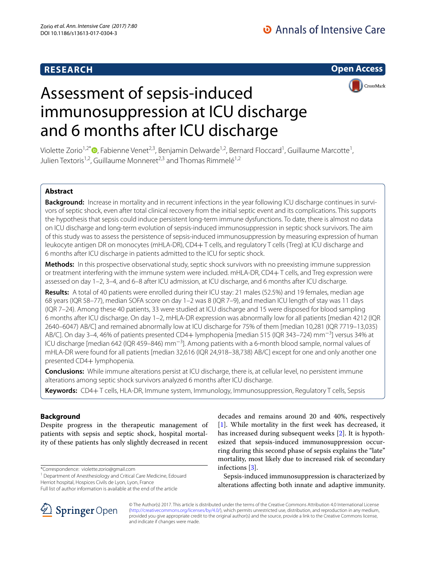# **RESEARCH**

**Open Access**



# Assessment of sepsis-induced immunosuppression at ICU discharge and 6 months after ICU discharge

Violette Zorio<sup>1[,](http://orcid.org/0000-0002-7489-4807)2\*</sup>®, Fabienne Venet<sup>2,3</sup>, Benjamin Delwarde<sup>1,2</sup>, Bernard Floccard<sup>1</sup>, Guillaume Marcotte<sup>1</sup>, Julien Textoris<sup>1,2</sup>, Guillaume Monneret<sup>2,3</sup> and Thomas Rimmelé<sup>1,2</sup>

# **Abstract**

**Background:** Increase in mortality and in recurrent infections in the year following ICU discharge continues in survivors of septic shock, even after total clinical recovery from the initial septic event and its complications. This supports the hypothesis that sepsis could induce persistent long-term immune dysfunctions. To date, there is almost no data on ICU discharge and long-term evolution of sepsis-induced immunosuppression in septic shock survivors. The aim of this study was to assess the persistence of sepsis-induced immunosuppression by measuring expression of human leukocyte antigen DR on monocytes (mHLA-DR), CD4+ T cells, and regulatory T cells (Treg) at ICU discharge and 6 months after ICU discharge in patients admitted to the ICU for septic shock.

**Methods:** In this prospective observational study, septic shock survivors with no preexisting immune suppression or treatment interfering with the immune system were included. mHLA-DR, CD4+ T cells, and Treg expression were assessed on day 1–2, 3–4, and 6–8 after ICU admission, at ICU discharge, and 6 months after ICU discharge.

**Results:** A total of 40 patients were enrolled during their ICU stay: 21 males (52.5%) and 19 females, median age 68 years (IQR 58–77), median SOFA score on day 1–2 was 8 (IQR 7–9), and median ICU length of stay was 11 days (IQR 7–24). Among these 40 patients, 33 were studied at ICU discharge and 15 were disposed for blood sampling 6 months after ICU discharge. On day 1–2, mHLA-DR expression was abnormally low for all patients [median 4212 (IQR 2640–6047) AB/C] and remained abnormally low at ICU discharge for 75% of them [median 10,281 (IQR 7719–13,035) AB/C]. On day 3–4, 46% of patients presented CD4+ lymphopenia [median 515 (IQR 343–724) mm<sup>−3</sup>] versus 34% at ICU discharge [median 642 (IQR 459–846) mm<sup>−3</sup>]. Among patients with a 6-month blood sample, normal values of mHLA-DR were found for all patients [median 32,616 (IQR 24,918–38,738) AB/C] except for one and only another one presented CD4+ lymphopenia.

**Conclusions:** While immune alterations persist at ICU discharge, there is, at cellular level, no persistent immune alterations among septic shock survivors analyzed 6 months after ICU discharge.

**Keywords:** CD4+ T cells, HLA-DR, Immune system, Immunology, Immunosuppression, Regulatory T cells, Sepsis

# **Background**

Despite progress in the therapeutic management of patients with sepsis and septic shock, hospital mortality of these patients has only slightly decreased in recent

\*Correspondence: violette.zorio@gmail.com

<sup>1</sup> Department of Anesthesiology and Critical Care Medicine, Edouard Herriot hospital, Hospices Civils de Lyon, Lyon, France



Sepsis-induced immunosuppression is characterized by alterations afecting both innate and adaptive immunity.



© The Author(s) 2017. This article is distributed under the terms of the Creative Commons Attribution 4.0 International License [\(http://creativecommons.org/licenses/by/4.0/\)](http://creativecommons.org/licenses/by/4.0/), which permits unrestricted use, distribution, and reproduction in any medium, provided you give appropriate credit to the original author(s) and the source, provide a link to the Creative Commons license, and indicate if changes were made.

Full list of author information is available at the end of the article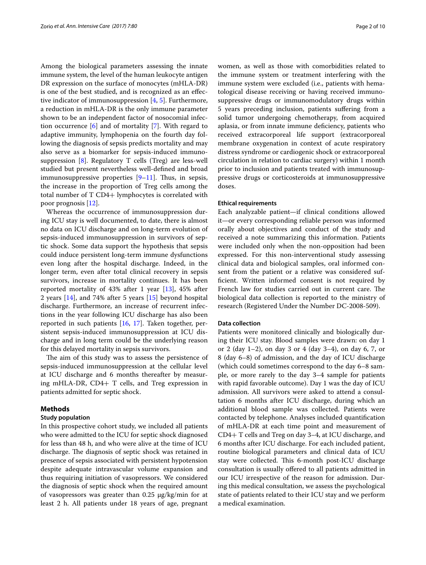Among the biological parameters assessing the innate immune system, the level of the human leukocyte antigen DR expression on the surface of monocytes (mHLA-DR) is one of the best studied, and is recognized as an efective indicator of immunosuppression [\[4](#page-9-3), [5\]](#page-9-4). Furthermore, a reduction in mHLA-DR is the only immune parameter shown to be an independent factor of nosocomial infection occurrence [[6\]](#page-9-5) and of mortality [[7\]](#page-9-6). With regard to adaptive immunity, lymphopenia on the fourth day following the diagnosis of sepsis predicts mortality and may also serve as a biomarker for sepsis-induced immunosuppression [[8\]](#page-9-7). Regulatory T cells (Treg) are less-well studied but present nevertheless well-defned and broad immunosuppressive properties  $[9-11]$  $[9-11]$ . Thus, in sepsis, the increase in the proportion of Treg cells among the total number of T CD4+ lymphocytes is correlated with poor prognosis [[12\]](#page-9-10).

Whereas the occurrence of immunosuppression during ICU stay is well documented, to date, there is almost no data on ICU discharge and on long-term evolution of sepsis-induced immunosuppression in survivors of septic shock. Some data support the hypothesis that sepsis could induce persistent long-term immune dysfunctions even long after the hospital discharge. Indeed, in the longer term, even after total clinical recovery in sepsis survivors, increase in mortality continues. It has been reported mortality of  $43\%$  after 1 year  $[13]$  $[13]$ ,  $45\%$  after 2 years [[14](#page-9-12)], and 74% after 5 years [[15\]](#page-9-13) beyond hospital discharge. Furthermore, an increase of recurrent infections in the year following ICU discharge has also been reported in such patients [\[16](#page-9-14), [17](#page-9-15)]. Taken together, persistent sepsis-induced immunosuppression at ICU discharge and in long term could be the underlying reason for this delayed mortality in sepsis survivors.

The aim of this study was to assess the persistence of sepsis-induced immunosuppression at the cellular level at ICU discharge and 6 months thereafter by measuring mHLA-DR, CD4+ T cells, and Treg expression in patients admitted for septic shock.

## **Methods**

#### **Study population**

In this prospective cohort study, we included all patients who were admitted to the ICU for septic shock diagnosed for less than 48 h, and who were alive at the time of ICU discharge. The diagnosis of septic shock was retained in presence of sepsis associated with persistent hypotension despite adequate intravascular volume expansion and thus requiring initiation of vasopressors. We considered the diagnosis of septic shock when the required amount of vasopressors was greater than 0.25 μg/kg/min for at least 2 h. All patients under 18 years of age, pregnant women, as well as those with comorbidities related to the immune system or treatment interfering with the immune system were excluded (i.e., patients with hematological disease receiving or having received immunosuppressive drugs or immunomodulatory drugs within 5 years preceding inclusion, patients sufering from a solid tumor undergoing chemotherapy, from acquired aplasia, or from innate immune defciency, patients who received extracorporeal life support (extracorporeal membrane oxygenation in context of acute respiratory distress syndrome or cardiogenic shock or extracorporeal circulation in relation to cardiac surgery) within 1 month prior to inclusion and patients treated with immunosuppressive drugs or corticosteroids at immunosuppressive doses.

#### **Ethical requirements**

Each analyzable patient—if clinical conditions allowed it—or every corresponding reliable person was informed orally about objectives and conduct of the study and received a note summarizing this information. Patients were included only when the non-opposition had been expressed. For this non-interventional study assessing clinical data and biological samples, oral informed consent from the patient or a relative was considered suffcient. Written informed consent is not required by French law for studies carried out in current care. The biological data collection is reported to the ministry of research (Registered Under the Number DC-2008-509).

#### **Data collection**

Patients were monitored clinically and biologically during their ICU stay. Blood samples were drawn: on day 1 or 2 (day 1–2), on day 3 or 4 (day 3–4), on day 6, 7, or 8 (day 6–8) of admission, and the day of ICU discharge (which could sometimes correspond to the day 6–8 sample, or more rarely to the day 3–4 sample for patients with rapid favorable outcome). Day 1 was the day of ICU admission. All survivors were asked to attend a consultation 6 months after ICU discharge, during which an additional blood sample was collected. Patients were contacted by telephone. Analyses included quantifcation of mHLA-DR at each time point and measurement of CD4+ T cells and Treg on day 3–4, at ICU discharge, and 6 months after ICU discharge. For each included patient, routine biological parameters and clinical data of ICU stay were collected. This 6-month post-ICU discharge consultation is usually ofered to all patients admitted in our ICU irrespective of the reason for admission. During this medical consultation, we assess the psychological state of patients related to their ICU stay and we perform a medical examination.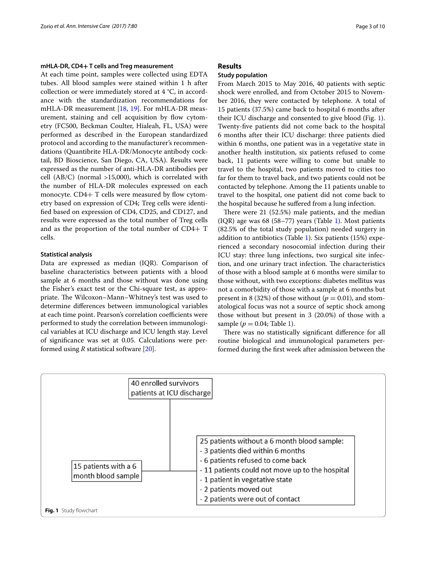## **mHLA‑DR, CD4+ T cells and Treg measurement**

At each time point, samples were collected using EDTA tubes. All blood samples were stained within 1 h after collection or were immediately stored at 4 °C, in accordance with the standardization recommendations for mHLA-DR measurement [\[18](#page-9-16), [19](#page-9-17)]. For mHLA-DR measurement, staining and cell acquisition by flow cytometry (FC500, Beckman Coulter, Hialeah, FL, USA) were performed as described in the European standardized protocol and according to the manufacturer's recommendations (Quantibrite HLA-DR/Monocyte antibody cocktail, BD Bioscience, San Diego, CA, USA). Results were expressed as the number of anti-HLA-DR antibodies per cell (AB/C) (normal >15,000), which is correlated with the number of HLA-DR molecules expressed on each monocyte.  $CD4+T$  cells were measured by flow cytometry based on expression of CD4; Treg cells were identifed based on expression of CD4, CD25, and CD127, and results were expressed as the total number of Treg cells and as the proportion of the total number of CD4+ T cells.

## **Statistical analysis**

Data are expressed as median (IQR). Comparison of baseline characteristics between patients with a blood sample at 6 months and those without was done using the Fisher's exact test or the Chi-square test, as appropriate. The Wilcoxon–Mann–Whitney's test was used to determine diferences between immunological variables at each time point. Pearson's correlation coefficients were performed to study the correlation between immunological variables at ICU discharge and ICU length stay. Level of signifcance was set at 0.05. Calculations were performed using *R* statistical software [[20\]](#page-9-18).

## **Results**

## **Study population**

From March 2015 to May 2016, 40 patients with septic shock were enrolled, and from October 2015 to November 2016, they were contacted by telephone. A total of 15 patients (37.5%) came back to hospital 6 months after their ICU discharge and consented to give blood (Fig. [1](#page-2-0)). Twenty-fve patients did not come back to the hospital 6 months after their ICU discharge: three patients died within 6 months, one patient was in a vegetative state in another health institution, six patients refused to come back, 11 patients were willing to come but unable to travel to the hospital, two patients moved to cities too far for them to travel back, and two patients could not be contacted by telephone. Among the 11 patients unable to travel to the hospital, one patient did not come back to the hospital because he sufered from a lung infection.

There were  $21$  (52.5%) male patients, and the median (IQR) age was 68 (58–77) years (Table [1\)](#page-3-0). Most patients (82.5% of the total study population) needed surgery in addition to antibiotics (Table [1](#page-3-0)). Six patients (15%) experienced a secondary nosocomial infection during their ICU stay: three lung infections, two surgical site infection, and one urinary tract infection. The characteristics of those with a blood sample at 6 months were similar to those without, with two exceptions: diabetes mellitus was not a comorbidity of those with a sample at 6 months but present in 8 (32%) of those without ( $p = 0.01$ ), and stomatological focus was not a source of septic shock among those without but present in 3 (20.0%) of those with a sample ( $p = 0.04$ ; Table [1](#page-3-0)).

There was no statistically significant difference for all routine biological and immunological parameters performed during the frst week after admission between the

<span id="page-2-0"></span>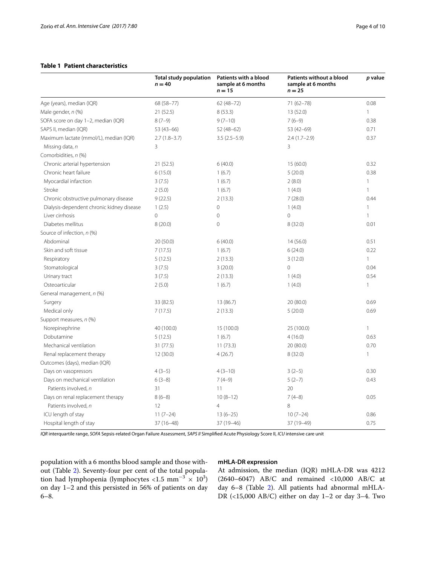# <span id="page-3-0"></span>**Table 1 Patient characteristics**

|                                           | <b>Total study population</b><br>$n = 40$ | Patients with a blood<br>sample at 6 months<br>$n = 15$ | Patients without a blood<br>sample at 6 months<br>$n = 25$ | p value      |
|-------------------------------------------|-------------------------------------------|---------------------------------------------------------|------------------------------------------------------------|--------------|
| Age (years), median (IQR)                 | 68 (58-77)                                | $62(48 - 72)$                                           | 71 (62-78)                                                 | 0.08         |
| Male gender, n (%)                        | 21 (52.5)                                 | 8(53.3)                                                 | 13 (52.0)                                                  | $\mathbf{1}$ |
| SOFA score on day 1-2, median (IQR)       | $8(7-9)$                                  | $9(7-10)$                                               | $7(6-9)$                                                   | 0.38         |
| SAPS II, median (IQR)                     | $53(43-66)$                               | $52(48-62)$                                             | 53 (42-69)                                                 | 0.71         |
| Maximum lactate (mmol/L), median (IQR)    | $2.7(1.8-3.7)$                            | $3.5(2.5-5.9)$                                          | $2.4(1.7-2.9)$                                             | 0.37         |
| Missing data, n                           | 3                                         |                                                         | 3                                                          |              |
| Comorbidities, n (%)                      |                                           |                                                         |                                                            |              |
| Chronic arterial hypertension             | 21(52.5)                                  | 6(40.0)                                                 | 15(60.0)                                                   | 0.32         |
| Chronic heart failure                     | 6(15.0)                                   | 1(6.7)                                                  | 5(20.0)                                                    | 0.38         |
| Myocardial infarction                     | 3(7.5)                                    | 1(6.7)                                                  | 2(8.0)                                                     | $\mathbf{1}$ |
| Stroke                                    | 2(5.0)                                    | 1(6.7)                                                  | 1(4.0)                                                     | $\mathbf{1}$ |
| Chronic obstructive pulmonary disease     | 9(22.5)                                   | 2(13.3)                                                 | 7(28.0)                                                    | 0.44         |
| Dialysis-dependent chronic kidney disease | 1(2.5)                                    | $\mathbf 0$                                             | 1(4.0)                                                     | 1            |
| Liver cirrhosis                           | $\overline{0}$                            | $\mathbf 0$                                             | $\circ$                                                    | 1            |
| Diabetes mellitus                         | 8 (20.0)                                  | $\mathbf{0}$                                            | 8(32.0)                                                    | 0.01         |
| Source of infection, n (%)                |                                           |                                                         |                                                            |              |
| Abdominal                                 | 20 (50.0)                                 | 6(40.0)                                                 | 14(56.0)                                                   | 0.51         |
| Skin and soft tissue                      | 7(17.5)                                   | 1(6.7)                                                  | 6(24.0)                                                    | 0.22         |
| Respiratory                               | 5(12.5)                                   | 2(13.3)                                                 | 3(12.0)                                                    | $\mathbf{1}$ |
| Stomatological                            | 3(7.5)                                    | 3(20.0)                                                 | $\mathbf 0$                                                | 0.04         |
| Urinary tract                             | 3(7.5)                                    | 2(13.3)                                                 | 1(4.0)                                                     | 0.54         |
| Osteoarticular                            | 2(5.0)                                    | 1(6.7)                                                  | 1(4.0)                                                     | $\mathbf{1}$ |
| General management, n (%)                 |                                           |                                                         |                                                            |              |
| Surgery                                   | 33 (82.5)                                 | 13 (86.7)                                               | 20(80.0)                                                   | 0.69         |
| Medical only                              | 7(17.5)                                   | 2(13.3)                                                 | 5(20.0)                                                    | 0.69         |
| Support measures, n (%)                   |                                           |                                                         |                                                            |              |
| Norepinephrine                            | 40 (100.0)                                | 15 (100.0)                                              | 25 (100.0)                                                 | 1            |
| Dobutamine                                | 5(12.5)                                   | 1(6.7)                                                  | 4(16.0)                                                    | 0.63         |
| Mechanical ventilation                    | 31 (77.5)                                 | 11(73.3)                                                | 20 (80.0)                                                  | 0.70         |
| Renal replacement therapy                 | 12 (30.0)                                 | 4(26.7)                                                 | 8(32.0)                                                    | 1            |
| Outcomes (days), median (IQR)             |                                           |                                                         |                                                            |              |
| Days on vasopressors                      | $4(3-5)$                                  | $4(3-10)$                                               | $3(2-5)$                                                   | 0.30         |
| Days on mechanical ventilation            | $6(3-8)$                                  | $7(4-9)$                                                | $5(2-7)$                                                   | 0.43         |
| Patients involved, n                      | 31                                        | 11                                                      | 20                                                         |              |
| Days on renal replacement therapy         | $8(6-8)$                                  | $10(8-12)$                                              | $7(4-8)$                                                   | 0.05         |
| Patients involved, n                      | 12                                        | $\overline{4}$                                          | 8                                                          |              |
| ICU length of stay                        | $11(7-24)$                                | $13(6-25)$                                              | $10(7-24)$                                                 | 0.86         |
| Hospital length of stay                   | 37 (16-48)                                | 37 (19-46)                                              | 37 (19-49)                                                 | 0.75         |

*IQR* interquartile range, *SOFA* Sepsis-related Organ Failure Assessment, *SAPS II* Simplifed Acute Physiology Score II, *ICU* intensive care unit

population with a 6 months blood sample and those without (Table [2](#page-4-0)). Seventy-four per cent of the total population had lymphopenia (lymphocytes <1.5 mm<sup>-3</sup>  $\times$  10<sup>3</sup>) on day 1–2 and this persisted in 56% of patients on day 6–8.

### **mHLA‑DR expression**

At admission, the median (IQR) mHLA-DR was 4212 (2640–6047) AB/C and remained <10,000 AB/C at day 6–8 (Table [2\)](#page-4-0). All patients had abnormal mHLA-DR (<15,000 AB/C) either on day 1–2 or day 3–4. Two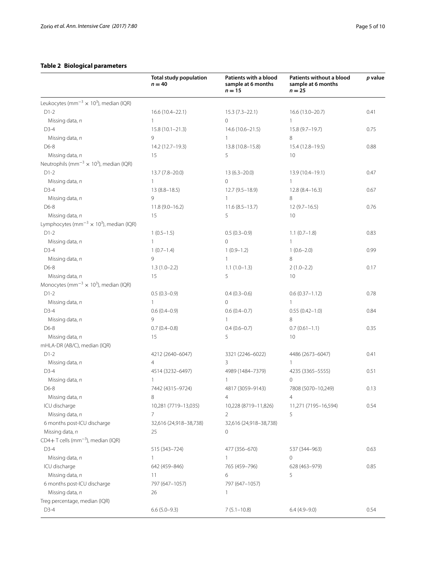# <span id="page-4-0"></span>**Table 2 Biological parameters**

|                                                                        | <b>Total study population</b><br>$n = 40$ | Patients with a blood<br>sample at 6 months<br>$n = 15$ | Patients without a blood<br>sample at 6 months<br>$n = 25$ | p value |
|------------------------------------------------------------------------|-------------------------------------------|---------------------------------------------------------|------------------------------------------------------------|---------|
| Leukocytes (mm <sup>-3</sup> $\times$ 10 <sup>3</sup> ), median (IQR)  |                                           |                                                         |                                                            |         |
| $D1-2$                                                                 | 16.6 (10.4-22.1)                          | $15.3(7.3-22.1)$                                        | 16.6 (13.0-20.7)                                           | 0.41    |
| Missing data, n                                                        | $\mathbf{1}$                              | $\circ$                                                 | $\mathbf{1}$                                               |         |
| $D3-4$                                                                 | $15.8(10.1 - 21.3)$                       | $14.6(10.6 - 21.5)$                                     | 15.8 (9.7-19.7)                                            | 0.75    |
| Missing data, n                                                        | 9                                         | $\mathbf{1}$                                            | 8                                                          |         |
| D6-8                                                                   | 14.2 (12.7-19.3)                          | 13.8 (10.8-15.8)                                        | 15.4 (12.8-19.5)                                           | 0.88    |
| Missing data, n                                                        | 15                                        | 5                                                       | 10 <sup>°</sup>                                            |         |
| Neutrophils (mm <sup>-3</sup> $\times$ 10 <sup>3</sup> ), median (IQR) |                                           |                                                         |                                                            |         |
| $D1-2$                                                                 | $13.7(7.8-20.0)$                          | $13(6.3 - 20.0)$                                        | 13.9 (10.4-19.1)                                           | 0.47    |
| Missing data, n                                                        | $\mathbf{1}$                              | $\circ$                                                 | $\mathbf{1}$                                               |         |
| $D3-4$                                                                 | $13(8.8 - 18.5)$                          | 12.7 (9.5-18.9)                                         | $12.8(8.4 - 16.3)$                                         | 0.67    |
| Missing data, n                                                        | 9                                         | $\mathbf{1}$                                            | 8                                                          |         |
| D6-8                                                                   | $11.8(9.0 - 16.2)$                        | $11.6(8.5-13.7)$                                        | $12(9.7-16.5)$                                             | 0.76    |
| Missing data, n                                                        | 15                                        | 5                                                       | 10                                                         |         |
| Lymphocytes (mm <sup>-3</sup> $\times$ 10 <sup>3</sup> ), median (IQR) |                                           |                                                         |                                                            |         |
| $D1-2$                                                                 | $1(0.5-1.5)$                              | $0.5(0.3-0.9)$                                          | $1.1(0.7-1.8)$                                             | 0.83    |
| Missing data, n                                                        | 1                                         | $\Omega$                                                | $\mathbf{1}$                                               |         |
| D3-4                                                                   | $1(0.7-1.4)$                              | $1(0.9-1.2)$                                            | $1(0.6-2.0)$                                               | 0.99    |
| Missing data, n                                                        | 9                                         | $\mathbf{1}$                                            | 8                                                          |         |
| D6-8                                                                   | $1.3(1.0-2.2)$                            | $1.1(1.0-1.3)$                                          | $2(1.0 - 2.2)$                                             | 0.17    |
| Missing data, n                                                        | 15                                        | 5                                                       | 10                                                         |         |
| Monocytes (mm <sup>-3</sup> $\times$ 10 <sup>3</sup> ), median (IQR)   |                                           |                                                         |                                                            |         |
| $D1-2$                                                                 | $0.5(0.3-0.9)$                            | $0.4(0.3-0.6)$                                          | $0.6(0.37 - 1.12)$                                         | 0.78    |
| Missing data, n                                                        | $\mathbf{1}$                              | $\Omega$                                                | $\mathbf{1}$                                               |         |
| $D3-4$                                                                 | $0.6(0.4-0.9)$                            | $0.6(0.4-0.7)$                                          | $0.55(0.42 - 1.0)$                                         | 0.84    |
| Missing data, n                                                        | 9                                         | $\mathbf{1}$                                            | 8                                                          |         |
| D6-8                                                                   | $0.7(0.4 - 0.8)$                          | $0.4(0.6 - 0.7)$                                        | $0.7(0.61 - 1.1)$                                          | 0.35    |
| Missing data, n                                                        | 15                                        | 5                                                       | 10                                                         |         |
| mHLA-DR (AB/C), median (IQR)                                           |                                           |                                                         |                                                            |         |
| $D1-2$                                                                 | 4212 (2640-6047)                          | 3321 (2246-6022)                                        | 4486 (2673-6047)                                           | 0.41    |
| Missing data, n                                                        | $\overline{4}$                            | 3                                                       | 1                                                          |         |
| $D3-4$                                                                 | 4514 (3232-6497)                          | 4989 (1484-7379)                                        | 4235 (3365-5555)                                           | 0.51    |
| Missing data, n                                                        | 1                                         | 1                                                       | 0                                                          |         |
| D6-8                                                                   | 7442 (4315-9724)                          | 4817 (3059-9143)                                        | 7808 (5070-10,249)                                         | 0.13    |
| Missing data, n                                                        | 8                                         | 4                                                       | 4                                                          |         |
| ICU discharge                                                          | 10,281 (7719-13,035)                      | 10,228 (8719-11,826)                                    | 11,271 (7195-16,594)                                       | 0.54    |
| Missing data, n                                                        | $\overline{7}$                            | 2                                                       | 5                                                          |         |
| 6 months post-ICU discharge                                            | 32,616 (24,918-38,738)                    | 32,616 (24,918-38,738)                                  |                                                            |         |
| Missing data, n                                                        | 25                                        | $\mathbf 0$                                             |                                                            |         |
| $CD4+T$ cells (mm <sup>-3</sup> ), median (IQR)                        |                                           |                                                         |                                                            |         |
| $D3-4$                                                                 | 515 (343-724)                             | 477 (356-670)                                           | 537 (344-963)                                              | 0.63    |
| Missing data, n                                                        | $\mathbf{1}$                              | $\mathbf{1}$                                            | 0                                                          |         |
| ICU discharge                                                          | 642 (459-846)                             | 765 (459-796)                                           | 628 (463-979)                                              | 0.85    |
| Missing data, n                                                        | 11                                        | 6                                                       | 5                                                          |         |
| 6 months post-ICU discharge                                            | 797 (647-1057)                            | 797 (647-1057)                                          |                                                            |         |
| Missing data, n                                                        | 26                                        | 1                                                       |                                                            |         |
| Treg percentage, median (IQR)                                          |                                           |                                                         |                                                            |         |
| $D3-4$                                                                 | $6.6(5.0-9.3)$                            | $7(5.1 - 10.8)$                                         | $6.4(4.9-9.0)$                                             | 0.54    |
|                                                                        |                                           |                                                         |                                                            |         |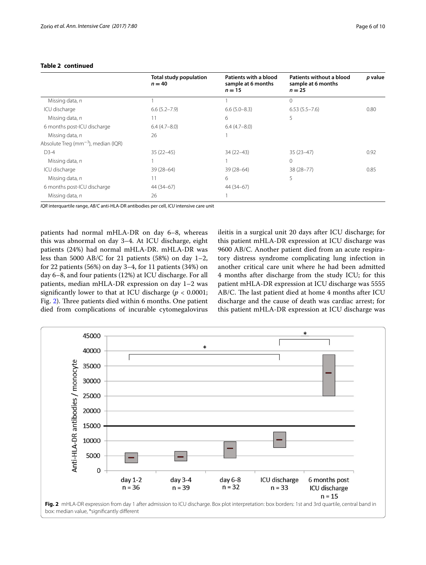|                                           | <b>Total study population</b><br>$n = 40$ | Patients with a blood<br>sample at 6 months<br>$n = 15$ | Patients without a blood<br>sample at 6 months<br>$n = 25$ | p value |
|-------------------------------------------|-------------------------------------------|---------------------------------------------------------|------------------------------------------------------------|---------|
| Missing data, n                           |                                           |                                                         | $\Omega$                                                   |         |
| ICU discharge                             | $6.6(5.2 - 7.9)$                          | $6.6(5.0 - 8.3)$                                        | $6.53(5.5 - 7.6)$                                          | 0.80    |
| Missing data, n                           | 11                                        | 6                                                       | 5                                                          |         |
| 6 months post-ICU discharge               | $6.4(4.7-8.0)$                            | $6.4(4.7-8.0)$                                          |                                                            |         |
| Missing data, n                           | 26                                        |                                                         |                                                            |         |
| Absolute Treq ( $mm^{-3}$ ), median (IQR) |                                           |                                                         |                                                            |         |
| $D3-4$                                    | $35(22 - 45)$                             | $34(22 - 43)$                                           | $35(23-47)$                                                | 0.92    |
| Missing data, n                           |                                           |                                                         | 0                                                          |         |
| ICU discharge                             | $39(28-64)$                               | $39(28-64)$                                             | $38(28 - 77)$                                              | 0.85    |
| Missing data, n                           | 11                                        | 6                                                       | 5                                                          |         |
| 6 months post-ICU discharge               | 44 (34 - 67)                              | 44 (34 - 67)                                            |                                                            |         |
| Missing data, n                           | 26                                        |                                                         |                                                            |         |

## **Table 2 continued**

*IQR* interquartile range, *AB/C* anti-HLA-DR antibodies per cell, *ICU* intensive care unit

patients had normal mHLA-DR on day 6–8, whereas this was abnormal on day 3–4. At ICU discharge, eight patients (24%) had normal mHLA-DR. mHLA-DR was less than 5000 AB/C for 21 patients (58%) on day  $1-2$ , for 22 patients (56%) on day 3–4, for 11 patients (34%) on day 6–8, and four patients (12%) at ICU discharge. For all patients, median mHLA-DR expression on day 1–2 was significantly lower to that at ICU discharge ( $p < 0.0001$ ; Fig. [2](#page-5-0)). Three patients died within 6 months. One patient died from complications of incurable cytomegalovirus ileitis in a surgical unit 20 days after ICU discharge; for this patient mHLA-DR expression at ICU discharge was 9600 AB/C. Another patient died from an acute respiratory distress syndrome complicating lung infection in another critical care unit where he had been admitted 4 months after discharge from the study ICU; for this patient mHLA-DR expression at ICU discharge was 5555 AB/C. The last patient died at home 4 months after ICU discharge and the cause of death was cardiac arrest; for this patient mHLA-DR expression at ICU discharge was

<span id="page-5-0"></span>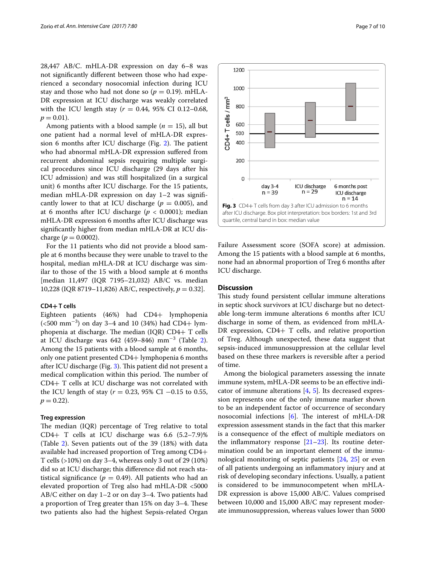28,447 AB/C. mHLA-DR expression on day 6–8 was not signifcantly diferent between those who had experienced a secondary nosocomial infection during ICU stay and those who had not done so  $(p = 0.19)$ . mHLA-DR expression at ICU discharge was weakly correlated with the ICU length stay (*r* = 0.44, 95% CI 0.12–0.68,  $p = 0.01$ ).

Among patients with a blood sample  $(n = 15)$ , all but one patient had a normal level of mHLA-DR expres-sion 6 months after ICU discharge (Fig. [2\)](#page-5-0). The patient who had abnormal mHLA-DR expression sufered from recurrent abdominal sepsis requiring multiple surgical procedures since ICU discharge (29 days after his ICU admission) and was still hospitalized (in a surgical unit) 6 months after ICU discharge. For the 15 patients, median mHLA-DR expression on day 1–2 was signifcantly lower to that at ICU discharge ( $p = 0.005$ ), and at 6 months after ICU discharge ( $p < 0.0001$ ); median mHLA-DR expression 6 months after ICU discharge was signifcantly higher from median mHLA-DR at ICU discharge ( $p = 0.0002$ ).

For the 11 patients who did not provide a blood sample at 6 months because they were unable to travel to the hospital, median mHLA-DR at ICU discharge was similar to those of the 15 with a blood sample at 6 months [median 11,497 (IQR 7195–21,032) AB/C vs. median 10,228 (IQR 8719–11,826) AB/C, respectively, *p* = 0.32].

#### **CD4+ T cells**

Eighteen patients (46%) had CD4+ lymphopenia (<500 mm−<sup>3</sup> ) on day 3–4 and 10 (34%) had CD4+ lymphopenia at discharge. The median (IQR) CD4+ T cells at ICU discharge was 64[2](#page-4-0) (459–846)  $mm^{-3}$  (Table 2). Among the 15 patients with a blood sample at 6 months, only one patient presented CD4+ lymphopenia 6 months after ICU discharge (Fig. [3\)](#page-6-0). This patient did not present a medical complication within this period. The number of CD4+ T cells at ICU discharge was not correlated with the ICU length of stay (*r* = 0.23, 95% CI −0.15 to 0.55,  $p = 0.22$ .

#### **Treg expression**

The median (IQR) percentage of Treg relative to total CD4+ T cells at ICU discharge was 6.6 (5.2–7.9)% (Table [2\)](#page-4-0). Seven patients out of the 39 (18%) with data available had increased proportion of Treg among CD4+ T cells (>10%) on day 3–4, whereas only 3 out of 29 (10%) did so at ICU discharge; this diference did not reach statistical significance ( $p = 0.49$ ). All patients who had an elevated proportion of Treg also had mHLA-DR <5000 AB/C either on day 1–2 or on day 3–4. Two patients had a proportion of Treg greater than 15% on day 3-4. These two patients also had the highest Sepsis-related Organ



<span id="page-6-0"></span>Failure Assessment score (SOFA score) at admission. Among the 15 patients with a blood sample at 6 months, none had an abnormal proportion of Treg 6 months after ICU discharge.

#### **Discussion**

This study found persistent cellular immune alterations in septic shock survivors at ICU discharge but no detectable long-term immune alterations 6 months after ICU discharge in some of them, as evidenced from mHLA-DR expression, CD4+ T cells, and relative proportion of Treg. Although unexpected, these data suggest that sepsis-induced immunosuppression at the cellular level based on these three markers is reversible after a period of time.

Among the biological parameters assessing the innate immune system, mHLA-DR seems to be an efective indicator of immune alterations [\[4,](#page-9-3) [5](#page-9-4)]. Its decreased expression represents one of the only immune marker shown to be an independent factor of occurrence of secondary nosocomial infections  $[6]$  $[6]$ . The interest of mHLA-DR expression assessment stands in the fact that this marker is a consequence of the efect of multiple mediators on the inflammatory response  $[21-23]$  $[21-23]$ . Its routine determination could be an important element of the immunological monitoring of septic patients [[24](#page-9-21), [25](#page-9-22)] or even of all patients undergoing an infammatory injury and at risk of developing secondary infections. Usually, a patient is considered to be immunocompetent when mHLA-DR expression is above 15,000 AB/C. Values comprised between 10,000 and 15,000 AB/C may represent moderate immunosuppression, whereas values lower than 5000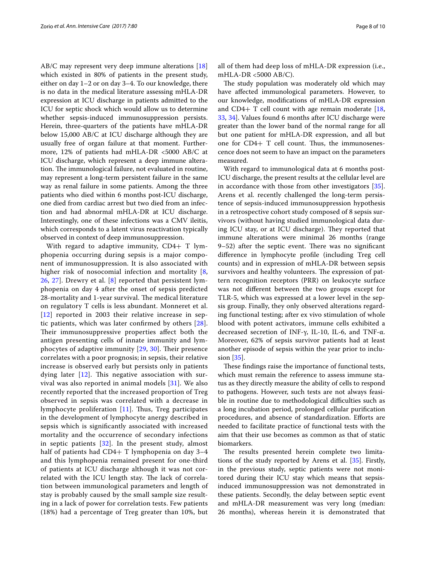AB/C may represent very deep immune alterations [[18](#page-9-16)] which existed in 80% of patients in the present study, either on day 1–2 or on day 3–4. To our knowledge, there is no data in the medical literature assessing mHLA-DR expression at ICU discharge in patients admitted to the ICU for septic shock which would allow us to determine whether sepsis-induced immunosuppression persists. Herein, three-quarters of the patients have mHLA-DR below 15,000 AB/C at ICU discharge although they are usually free of organ failure at that moment. Furthermore, 12% of patients had mHLA-DR <5000 AB/C at ICU discharge, which represent a deep immune alteration. The immunological failure, not evaluated in routine, may represent a long-term persistent failure in the same way as renal failure in some patients. Among the three patients who died within 6 months post-ICU discharge, one died from cardiac arrest but two died from an infection and had abnormal mHLA-DR at ICU discharge. Interestingly, one of these infections was a CMV ileitis, which corresponds to a latent virus reactivation typically observed in context of deep immunosuppression.

With regard to adaptive immunity, CD4+ T lymphopenia occurring during sepsis is a major component of immunosuppression. It is also associated with higher risk of nosocomial infection and mortality [\[8](#page-9-7), [26,](#page-9-23) [27\]](#page-9-24). Drewry et al. [\[8\]](#page-9-7) reported that persistent lymphopenia on day 4 after the onset of sepsis predicted 28-mortality and 1-year survival. The medical literature on regulatory T cells is less abundant. Monneret et al. [[12](#page-9-10)] reported in 2003 their relative increase in septic patients, which was later confrmed by others [[28\]](#page-9-25). Their immunosuppressive properties affect both the antigen presenting cells of innate immunity and lymphocytes of adaptive immunity  $[29, 30]$  $[29, 30]$  $[29, 30]$ . Their presence correlates with a poor prognosis; in sepsis, their relative increase is observed early but persists only in patients dying later  $[12]$  $[12]$  $[12]$ . This negative association with survival was also reported in animal models [[31](#page-9-28)]. We also recently reported that the increased proportion of Treg observed in sepsis was correlated with a decrease in lymphocyte proliferation [[11\]](#page-9-9). Thus, Treg participates in the development of lymphocyte anergy described in sepsis which is signifcantly associated with increased mortality and the occurrence of secondary infections in septic patients [\[32](#page-9-29)]. In the present study, almost half of patients had CD4+ T lymphopenia on day 3-4 and this lymphopenia remained present for one-third of patients at ICU discharge although it was not correlated with the ICU length stay. The lack of correlation between immunological parameters and length of stay is probably caused by the small sample size resulting in a lack of power for correlation tests. Few patients (18%) had a percentage of Treg greater than 10%, but all of them had deep loss of mHLA-DR expression (i.e., mHLA-DR <5000 AB/C).

The study population was moderately old which may have afected immunological parameters. However, to our knowledge, modifcations of mHLA-DR expression and CD4+ T cell count with age remain moderate  $[18, 1]$  $[18, 1]$  $[18, 1]$ [33,](#page-9-30) [34](#page-9-31)]. Values found 6 months after ICU discharge were greater than the lower band of the normal range for all but one patient for mHLA-DR expression, and all but one for CD4+ T cell count. Thus, the immunosenescence does not seem to have an impact on the parameters measured.

With regard to immunological data at 6 months post-ICU discharge, the present results at the cellular level are in accordance with those from other investigators [\[35](#page-9-32)]. Arens et al. recently challenged the long-term persistence of sepsis-induced immunosuppression hypothesis in a retrospective cohort study composed of 8 sepsis survivors (without having studied immunological data during ICU stay, or at ICU discharge). They reported that immune alterations were minimal 26 months (range  $9-52$ ) after the septic event. There was no significant diference in lymphocyte profle (including Treg cell counts) and in expression of mHLA-DR between sepsis survivors and healthy volunteers. The expression of pattern recognition receptors (PRR) on leukocyte surface was not diferent between the two groups except for TLR-5, which was expressed at a lower level in the sepsis group. Finally, they only observed alterations regarding functional testing; after ex vivo stimulation of whole blood with potent activators, immune cells exhibited a decreased secretion of INF-γ, IL-10, IL-6, and TNF-α. Moreover, 62% of sepsis survivor patients had at least another episode of sepsis within the year prior to inclusion [[35](#page-9-32)].

These findings raise the importance of functional tests, which must remain the reference to assess immune status as they directly measure the ability of cells to respond to pathogens. However, such tests are not always feasible in routine due to methodological difficulties such as a long incubation period, prolonged cellular purifcation procedures, and absence of standardization. Eforts are needed to facilitate practice of functional tests with the aim that their use becomes as common as that of static biomarkers.

The results presented herein complete two limitations of the study reported by Arens et al. [\[35](#page-9-32)]. Firstly, in the previous study, septic patients were not monitored during their ICU stay which means that sepsisinduced immunosuppression was not demonstrated in these patients. Secondly, the delay between septic event and mHLA-DR measurement was very long (median: 26 months), whereas herein it is demonstrated that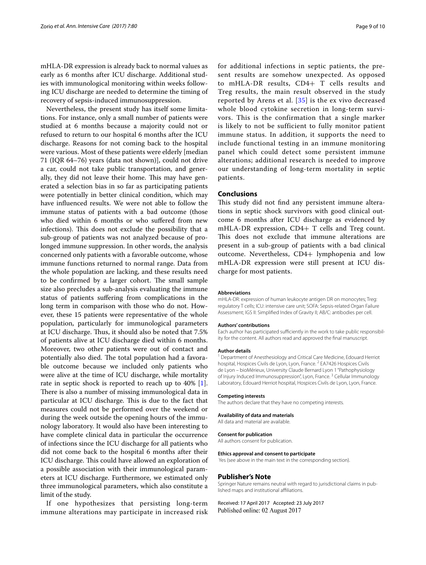mHLA-DR expression is already back to normal values as early as 6 months after ICU discharge. Additional studies with immunological monitoring within weeks following ICU discharge are needed to determine the timing of recovery of sepsis-induced immunosuppression.

Nevertheless, the present study has itself some limitations. For instance, only a small number of patients were studied at 6 months because a majority could not or refused to return to our hospital 6 months after the ICU discharge. Reasons for not coming back to the hospital were various. Most of these patients were elderly [median 71 (IQR 64–76) years (data not shown)], could not drive a car, could not take public transportation, and generally, they did not leave their home. This may have generated a selection bias in so far as participating patients were potentially in better clinical condition, which may have infuenced results. We were not able to follow the immune status of patients with a bad outcome (those who died within 6 months or who suffered from new infections). This does not exclude the possibility that a sub-group of patients was not analyzed because of prolonged immune suppression. In other words, the analysis concerned only patients with a favorable outcome, whose immune functions returned to normal range. Data from the whole population are lacking, and these results need to be confirmed by a larger cohort. The small sample size also precludes a sub-analysis evaluating the immune status of patients sufering from complications in the long term in comparison with those who do not. However, these 15 patients were representative of the whole population, particularly for immunological parameters at ICU discharge. Thus, it should also be noted that  $7.5\%$ of patients alive at ICU discharge died within 6 months. Moreover, two other patients were out of contact and potentially also died. The total population had a favorable outcome because we included only patients who were alive at the time of ICU discharge, while mortality rate in septic shock is reported to reach up to 40% [\[1](#page-9-0)]. There is also a number of missing immunological data in particular at ICU discharge. This is due to the fact that measures could not be performed over the weekend or during the week outside the opening hours of the immunology laboratory. It would also have been interesting to have complete clinical data in particular the occurrence of infections since the ICU discharge for all patients who did not come back to the hospital 6 months after their ICU discharge. This could have allowed an exploration of a possible association with their immunological parameters at ICU discharge. Furthermore, we estimated only three immunological parameters, which also constitute a limit of the study.

If one hypothesizes that persisting long-term immune alterations may participate in increased risk for additional infections in septic patients, the present results are somehow unexpected. As opposed to mHLA-DR results, CD4+ T cells results and Treg results, the main result observed in the study reported by Arens et al.  $[35]$  $[35]$  $[35]$  is the ex vivo decreased whole blood cytokine secretion in long-term survivors. This is the confirmation that a single marker is likely to not be sufficient to fully monitor patient immune status. In addition, it supports the need to include functional testing in an immune monitoring panel which could detect some persistent immune alterations; additional research is needed to improve our understanding of long-term mortality in septic patients.

#### **Conclusions**

This study did not find any persistent immune alterations in septic shock survivors with good clinical outcome 6 months after ICU discharge as evidenced by mHLA-DR expression, CD4+ T cells and Treg count. This does not exclude that immune alterations are present in a sub-group of patients with a bad clinical outcome. Nevertheless, CD4+ lymphopenia and low mHLA-DR expression were still present at ICU discharge for most patients.

#### **Abbreviations**

mHLA-DR: expression of human leukocyte antigen DR on monocytes; Treg: regulatory T cells; ICU: intensive care unit; SOFA: Sepsis-related Organ Failure Assessment; IGS II: Simplifed Index of Gravity II; AB/C: antibodies per cell.

#### **Authors' contributions**

Each author has participated sufficiently in the work to take public responsibility for the content. All authors read and approved the fnal manuscript.

#### **Author details**

<sup>1</sup> Department of Anesthesiology and Critical Care Medicine, Edouard Herriot hospital, Hospices Civils de Lyon, Lyon, France.<sup>2</sup> EA7426 Hospices Civils de Lyon – bioMérieux, University Claude Bernard Lyon 1 "Pathophysiology of Injury Induced Immunosuppression", Lyon, France. 3 Cellular Immunology Laboratory, Edouard Herriot hospital, Hospices Civils de Lyon, Lyon, France.

#### **Competing interests**

The authors declare that they have no competing interests.

#### **Availability of data and materials**

All data and material are available.

#### **Consent for publication**

All authors consent for publication.

#### **Ethics approval and consent to participate**

Yes (see above in the main text in the corresponding section).

#### **Publisher's Note**

Springer Nature remains neutral with regard to jurisdictional claims in published maps and institutional afliations.

Received: 17 April 2017 Accepted: 23 July 2017Published online: 02 August 2017